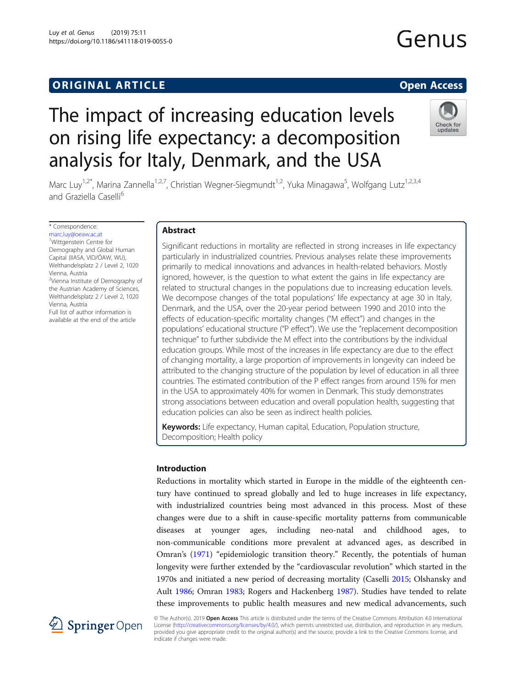# **ORIGINAL ARTICLE CONSERVANCE IN A LOCAL CONSERVANCE IN A LOCAL CONSERVANCE IN A LOCAL CONSERVANCE IN A LOCAL CONSERVANCE IN A LOCAL CONSERVANCE IN A LOCAL CONSERVANCE IN A LOCAL CONSERVANCE IN A LOCAL CONSERVANCE IN A L**

Genus

# The impact of increasing education levels on rising life expectancy: a decomposition analysis for Italy, Denmark, and the USA



Marc Luy<sup>1,2\*</sup>, Marina Zannella<sup>1,2,7</sup>, Christian Wegner-Siegmundt<sup>1,2</sup>, Yuka Minagawa<sup>5</sup>, Wolfgang Lutz<sup>1,2,3,4</sup> and Graziella Caselli<sup>6</sup>

\* Correspondence:

[marc.luy@oeaw.ac.at](mailto:marc.luy@oeaw.ac.at) 1 Wittgenstein Centre for Demography and Global Human Capital (IIASA, VID/ÖAW, WU), Welthandelsplatz 2 / Level 2, 1020 Vienna, Austria <sup>2</sup>Vienna Institute of Demography of the Austrian Academy of Sciences, Welthandelsplatz 2 / Level 2, 1020 Vienna, Austria

Full list of author information is available at the end of the article

# Abstract

Significant reductions in mortality are reflected in strong increases in life expectancy particularly in industrialized countries. Previous analyses relate these improvements primarily to medical innovations and advances in health-related behaviors. Mostly ignored, however, is the question to what extent the gains in life expectancy are related to structural changes in the populations due to increasing education levels. We decompose changes of the total populations' life expectancy at age 30 in Italy, Denmark, and the USA, over the 20-year period between 1990 and 2010 into the effects of education-specific mortality changes ("M effect") and changes in the populations' educational structure ("P effect"). We use the "replacement decomposition technique" to further subdivide the M effect into the contributions by the individual education groups. While most of the increases in life expectancy are due to the effect of changing mortality, a large proportion of improvements in longevity can indeed be attributed to the changing structure of the population by level of education in all three countries. The estimated contribution of the P effect ranges from around 15% for men in the USA to approximately 40% for women in Denmark. This study demonstrates strong associations between education and overall population health, suggesting that education policies can also be seen as indirect health policies.

Keywords: Life expectancy, Human capital, Education, Population structure, Decomposition; Health policy

# Introduction

Reductions in mortality which started in Europe in the middle of the eighteenth century have continued to spread globally and led to huge increases in life expectancy, with industrialized countries being most advanced in this process. Most of these changes were due to a shift in cause-specific mortality patterns from communicable diseases at younger ages, including neo-natal and childhood ages, to non-communicable conditions more prevalent at advanced ages, as described in Omran's ([1971](#page-19-0)) "epidemiologic transition theory." Recently, the potentials of human longevity were further extended by the "cardiovascular revolution" which started in the 1970s and initiated a new period of decreasing mortality (Caselli [2015](#page-18-0); Olshansky and Ault [1986;](#page-19-0) Omran [1983](#page-19-0); Rogers and Hackenberg [1987](#page-19-0)). Studies have tended to relate these improvements to public health measures and new medical advancements, such



© The Author(s). 2019 Open Access This article is distributed under the terms of the Creative Commons Attribution 4.0 International License [\(http://creativecommons.org/licenses/by/4.0/](http://creativecommons.org/licenses/by/4.0/)), which permits unrestricted use, distribution, and reproduction in any medium, provided you give appropriate credit to the original author(s) and the source, provide a link to the Creative Commons license, and indicate if changes were made.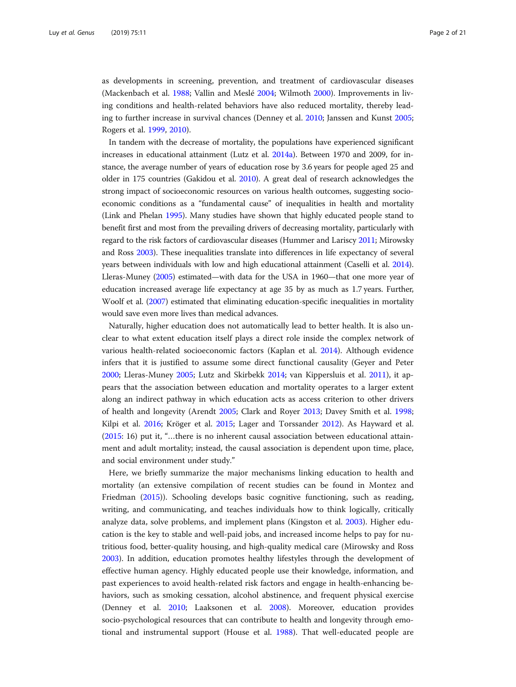as developments in screening, prevention, and treatment of cardiovascular diseases (Mackenbach et al. [1988;](#page-19-0) Vallin and Meslé [2004;](#page-20-0) Wilmoth [2000\)](#page-20-0). Improvements in living conditions and health-related behaviors have also reduced mortality, thereby leading to further increase in survival chances (Denney et al. [2010](#page-18-0); Janssen and Kunst [2005](#page-18-0); Rogers et al. [1999](#page-19-0), [2010](#page-19-0)).

In tandem with the decrease of mortality, the populations have experienced significant increases in educational attainment (Lutz et al. [2014a](#page-19-0)). Between 1970 and 2009, for instance, the average number of years of education rose by 3.6 years for people aged 25 and older in 175 countries (Gakidou et al. [2010](#page-18-0)). A great deal of research acknowledges the strong impact of socioeconomic resources on various health outcomes, suggesting socioeconomic conditions as a "fundamental cause" of inequalities in health and mortality (Link and Phelan [1995\)](#page-19-0). Many studies have shown that highly educated people stand to benefit first and most from the prevailing drivers of decreasing mortality, particularly with regard to the risk factors of cardiovascular diseases (Hummer and Lariscy [2011](#page-18-0); Mirowsky and Ross [2003\)](#page-19-0). These inequalities translate into differences in life expectancy of several years between individuals with low and high educational attainment (Caselli et al. [2014](#page-18-0)). Lleras-Muney [\(2005](#page-19-0)) estimated—with data for the USA in 1960—that one more year of education increased average life expectancy at age 35 by as much as 1.7 years. Further, Woolf et al. ([2007](#page-20-0)) estimated that eliminating education-specific inequalities in mortality would save even more lives than medical advances.

Naturally, higher education does not automatically lead to better health. It is also unclear to what extent education itself plays a direct role inside the complex network of various health-related socioeconomic factors (Kaplan et al. [2014\)](#page-18-0). Although evidence infers that it is justified to assume some direct functional causality (Geyer and Peter [2000](#page-18-0); Lleras-Muney [2005](#page-19-0); Lutz and Skirbekk [2014;](#page-19-0) van Kippersluis et al. [2011\)](#page-18-0), it appears that the association between education and mortality operates to a larger extent along an indirect pathway in which education acts as access criterion to other drivers of health and longevity (Arendt [2005;](#page-18-0) Clark and Royer [2013;](#page-18-0) Davey Smith et al. [1998](#page-18-0); Kilpi et al. [2016;](#page-18-0) Kröger et al. [2015](#page-19-0); Lager and Torssander [2012\)](#page-19-0). As Hayward et al. ([2015](#page-18-0): 16) put it, "…there is no inherent causal association between educational attainment and adult mortality; instead, the causal association is dependent upon time, place, and social environment under study."

Here, we briefly summarize the major mechanisms linking education to health and mortality (an extensive compilation of recent studies can be found in Montez and Friedman [\(2015\)](#page-19-0)). Schooling develops basic cognitive functioning, such as reading, writing, and communicating, and teaches individuals how to think logically, critically analyze data, solve problems, and implement plans (Kingston et al. [2003\)](#page-18-0). Higher education is the key to stable and well-paid jobs, and increased income helps to pay for nutritious food, better-quality housing, and high-quality medical care (Mirowsky and Ross [2003](#page-19-0)). In addition, education promotes healthy lifestyles through the development of effective human agency. Highly educated people use their knowledge, information, and past experiences to avoid health-related risk factors and engage in health-enhancing behaviors, such as smoking cessation, alcohol abstinence, and frequent physical exercise (Denney et al. [2010](#page-18-0); Laaksonen et al. [2008\)](#page-19-0). Moreover, education provides socio-psychological resources that can contribute to health and longevity through emotional and instrumental support (House et al. [1988](#page-18-0)). That well-educated people are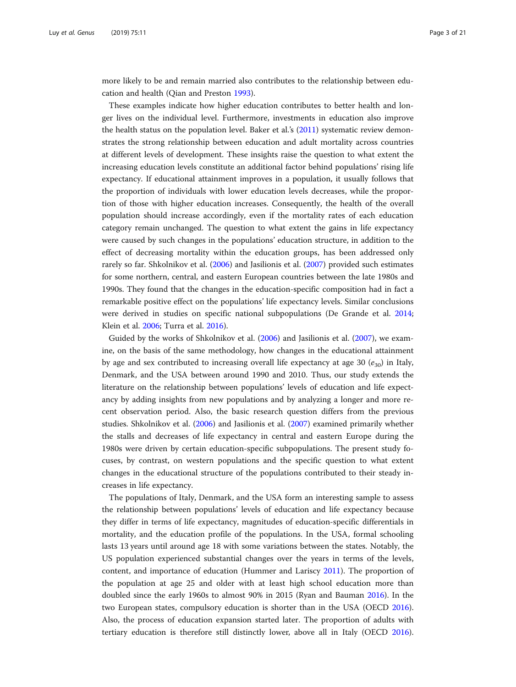more likely to be and remain married also contributes to the relationship between education and health (Qian and Preston [1993](#page-19-0)).

These examples indicate how higher education contributes to better health and longer lives on the individual level. Furthermore, investments in education also improve the health status on the population level. Baker et al.'s [\(2011\)](#page-18-0) systematic review demonstrates the strong relationship between education and adult mortality across countries at different levels of development. These insights raise the question to what extent the increasing education levels constitute an additional factor behind populations' rising life expectancy. If educational attainment improves in a population, it usually follows that the proportion of individuals with lower education levels decreases, while the proportion of those with higher education increases. Consequently, the health of the overall population should increase accordingly, even if the mortality rates of each education category remain unchanged. The question to what extent the gains in life expectancy were caused by such changes in the populations' education structure, in addition to the effect of decreasing mortality within the education groups, has been addressed only rarely so far. Shkolnikov et al. [\(2006](#page-19-0)) and Jasilionis et al. ([2007](#page-18-0)) provided such estimates for some northern, central, and eastern European countries between the late 1980s and 1990s. They found that the changes in the education-specific composition had in fact a remarkable positive effect on the populations' life expectancy levels. Similar conclusions were derived in studies on specific national subpopulations (De Grande et al. [2014](#page-18-0); Klein et al. [2006](#page-18-0); Turra et al. [2016](#page-20-0)).

Guided by the works of Shkolnikov et al. ([2006](#page-19-0)) and Jasilionis et al. ([2007](#page-18-0)), we examine, on the basis of the same methodology, how changes in the educational attainment by age and sex contributed to increasing overall life expectancy at age 30  $(e_{30})$  in Italy, Denmark, and the USA between around 1990 and 2010. Thus, our study extends the literature on the relationship between populations' levels of education and life expectancy by adding insights from new populations and by analyzing a longer and more recent observation period. Also, the basic research question differs from the previous studies. Shkolnikov et al. [\(2006\)](#page-19-0) and Jasilionis et al. ([2007](#page-18-0)) examined primarily whether the stalls and decreases of life expectancy in central and eastern Europe during the 1980s were driven by certain education-specific subpopulations. The present study focuses, by contrast, on western populations and the specific question to what extent changes in the educational structure of the populations contributed to their steady increases in life expectancy.

The populations of Italy, Denmark, and the USA form an interesting sample to assess the relationship between populations' levels of education and life expectancy because they differ in terms of life expectancy, magnitudes of education-specific differentials in mortality, and the education profile of the populations. In the USA, formal schooling lasts 13 years until around age 18 with some variations between the states. Notably, the US population experienced substantial changes over the years in terms of the levels, content, and importance of education (Hummer and Lariscy [2011](#page-18-0)). The proportion of the population at age 25 and older with at least high school education more than doubled since the early 1960s to almost 90% in 2015 (Ryan and Bauman [2016\)](#page-19-0). In the two European states, compulsory education is shorter than in the USA (OECD [2016](#page-19-0)). Also, the process of education expansion started later. The proportion of adults with tertiary education is therefore still distinctly lower, above all in Italy (OECD [2016](#page-19-0)).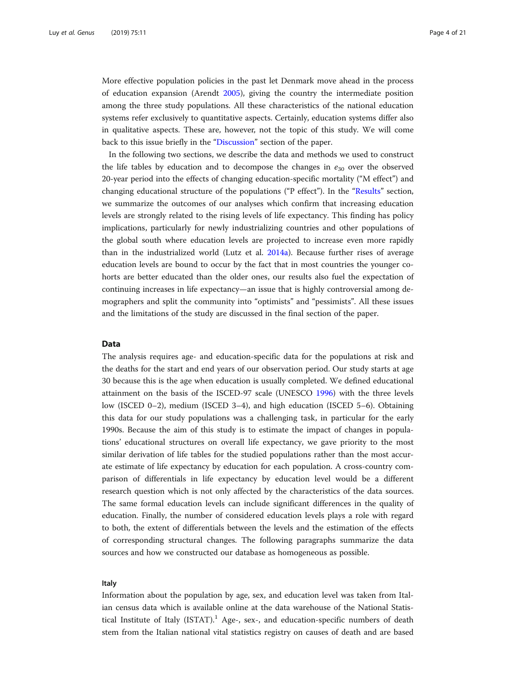<span id="page-3-0"></span>More effective population policies in the past let Denmark move ahead in the process of education expansion (Arendt [2005](#page-18-0)), giving the country the intermediate position among the three study populations. All these characteristics of the national education systems refer exclusively to quantitative aspects. Certainly, education systems differ also in qualitative aspects. These are, however, not the topic of this study. We will come back to this issue briefly in the "[Discussion](#page-11-0)" section of the paper.

In the following two sections, we describe the data and methods we used to construct the life tables by education and to decompose the changes in  $e_{30}$  over the observed 20-year period into the effects of changing education-specific mortality ("M effect") and changing educational structure of the populations ("P effect"). In the "[Results](#page-7-0)" section, we summarize the outcomes of our analyses which confirm that increasing education levels are strongly related to the rising levels of life expectancy. This finding has policy implications, particularly for newly industrializing countries and other populations of the global south where education levels are projected to increase even more rapidly than in the industrialized world (Lutz et al. [2014a\)](#page-19-0). Because further rises of average education levels are bound to occur by the fact that in most countries the younger cohorts are better educated than the older ones, our results also fuel the expectation of continuing increases in life expectancy—an issue that is highly controversial among demographers and split the community into "optimists" and "pessimists". All these issues and the limitations of the study are discussed in the final section of the paper.

## Data

The analysis requires age- and education-specific data for the populations at risk and the deaths for the start and end years of our observation period. Our study starts at age 30 because this is the age when education is usually completed. We defined educational attainment on the basis of the ISCED-97 scale (UNESCO [1996\)](#page-20-0) with the three levels low (ISCED 0–2), medium (ISCED 3–4), and high education (ISCED 5–6). Obtaining this data for our study populations was a challenging task, in particular for the early 1990s. Because the aim of this study is to estimate the impact of changes in populations' educational structures on overall life expectancy, we gave priority to the most similar derivation of life tables for the studied populations rather than the most accurate estimate of life expectancy by education for each population. A cross-country comparison of differentials in life expectancy by education level would be a different research question which is not only affected by the characteristics of the data sources. The same formal education levels can include significant differences in the quality of education. Finally, the number of considered education levels plays a role with regard to both, the extent of differentials between the levels and the estimation of the effects of corresponding structural changes. The following paragraphs summarize the data sources and how we constructed our database as homogeneous as possible.

#### Italy

Information about the population by age, sex, and education level was taken from Italian census data which is available online at the data warehouse of the National Statistical Institute of Italy  $(ISTAT)^1$  Age-, sex-, and education-specific numbers of death stem from the Italian national vital statistics registry on causes of death and are based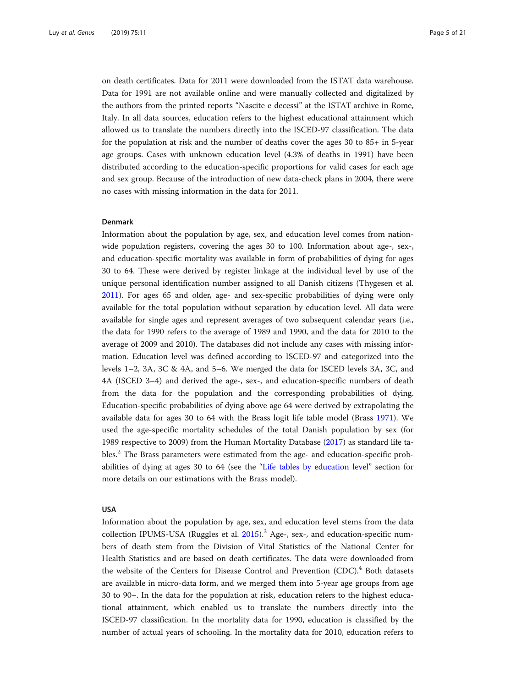<span id="page-4-0"></span>on death certificates. Data for 2011 were downloaded from the ISTAT data warehouse. Data for 1991 are not available online and were manually collected and digitalized by the authors from the printed reports "Nascite e decessi" at the ISTAT archive in Rome, Italy. In all data sources, education refers to the highest educational attainment which allowed us to translate the numbers directly into the ISCED-97 classification. The data for the population at risk and the number of deaths cover the ages 30 to 85+ in 5-year age groups. Cases with unknown education level (4.3% of deaths in 1991) have been distributed according to the education-specific proportions for valid cases for each age and sex group. Because of the introduction of new data-check plans in 2004, there were no cases with missing information in the data for 2011.

#### Denmark

Information about the population by age, sex, and education level comes from nationwide population registers, covering the ages 30 to 100. Information about age-, sex-, and education-specific mortality was available in form of probabilities of dying for ages 30 to 64. These were derived by register linkage at the individual level by use of the unique personal identification number assigned to all Danish citizens (Thygesen et al. [2011](#page-20-0)). For ages 65 and older, age- and sex-specific probabilities of dying were only available for the total population without separation by education level. All data were available for single ages and represent averages of two subsequent calendar years (i.e., the data for 1990 refers to the average of 1989 and 1990, and the data for 2010 to the average of 2009 and 2010). The databases did not include any cases with missing information. Education level was defined according to ISCED-97 and categorized into the levels 1–2, 3A, 3C & 4A, and 5–6. We merged the data for ISCED levels 3A, 3C, and 4A (ISCED 3–4) and derived the age-, sex-, and education-specific numbers of death from the data for the population and the corresponding probabilities of dying. Education-specific probabilities of dying above age 64 were derived by extrapolating the available data for ages 30 to 64 with the Brass logit life table model (Brass [1971](#page-18-0)). We used the age-specific mortality schedules of the total Danish population by sex (for 1989 respective to 2009) from the Human Mortality Database [\(2017](#page-18-0)) as standard life tables.<sup>2</sup> The Brass parameters were estimated from the age- and education-specific probabilities of dying at ages 30 to 64 (see the "[Life tables by education level](#page-5-0)" section for more details on our estimations with the Brass model).

#### USA

Information about the population by age, sex, and education level stems from the data collection IPUMS-USA (Ruggles et al. [2015](#page-19-0)).<sup>3</sup> Age-, sex-, and education-specific numbers of death stem from the Division of Vital Statistics of the National Center for Health Statistics and are based on death certificates. The data were downloaded from the website of the Centers for Disease Control and Prevention (CDC).<sup>4</sup> Both datasets are available in micro-data form, and we merged them into 5-year age groups from age 30 to 90+. In the data for the population at risk, education refers to the highest educational attainment, which enabled us to translate the numbers directly into the ISCED-97 classification. In the mortality data for 1990, education is classified by the number of actual years of schooling. In the mortality data for 2010, education refers to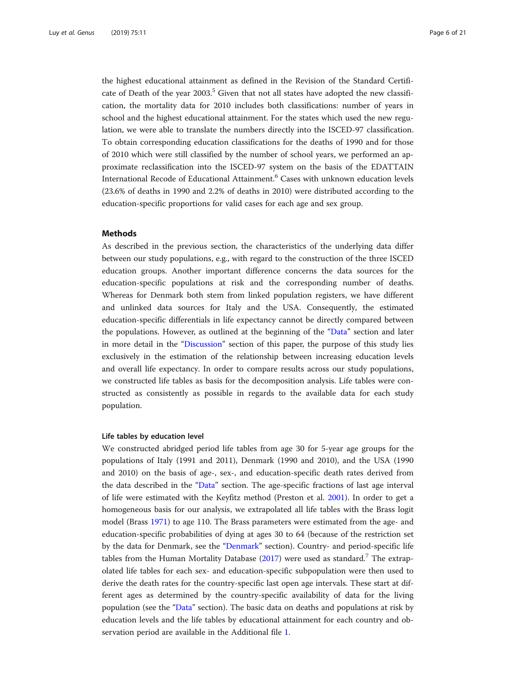<span id="page-5-0"></span>the highest educational attainment as defined in the Revision of the Standard Certificate of Death of the year 2003.<sup>5</sup> Given that not all states have adopted the new classification, the mortality data for 2010 includes both classifications: number of years in school and the highest educational attainment. For the states which used the new regulation, we were able to translate the numbers directly into the ISCED-97 classification. To obtain corresponding education classifications for the deaths of 1990 and for those of 2010 which were still classified by the number of school years, we performed an approximate reclassification into the ISCED-97 system on the basis of the EDATTAIN International Recode of Educational Attainment.<sup>6</sup> Cases with unknown education levels (23.6% of deaths in 1990 and 2.2% of deaths in 2010) were distributed according to the education-specific proportions for valid cases for each age and sex group.

# Methods

As described in the previous section, the characteristics of the underlying data differ between our study populations, e.g., with regard to the construction of the three ISCED education groups. Another important difference concerns the data sources for the education-specific populations at risk and the corresponding number of deaths. Whereas for Denmark both stem from linked population registers, we have different and unlinked data sources for Italy and the USA. Consequently, the estimated education-specific differentials in life expectancy cannot be directly compared between the populations. However, as outlined at the beginning of the "[Data](#page-3-0)" section and later in more detail in the "[Discussion](#page-11-0)" section of this paper, the purpose of this study lies exclusively in the estimation of the relationship between increasing education levels and overall life expectancy. In order to compare results across our study populations, we constructed life tables as basis for the decomposition analysis. Life tables were constructed as consistently as possible in regards to the available data for each study population.

#### Life tables by education level

We constructed abridged period life tables from age 30 for 5-year age groups for the populations of Italy (1991 and 2011), Denmark (1990 and 2010), and the USA (1990 and 2010) on the basis of age-, sex-, and education-specific death rates derived from the data described in the "[Data](#page-3-0)" section. The age-specific fractions of last age interval of life were estimated with the Keyfitz method (Preston et al. [2001](#page-19-0)). In order to get a homogeneous basis for our analysis, we extrapolated all life tables with the Brass logit model (Brass [1971](#page-18-0)) to age 110. The Brass parameters were estimated from the age- and education-specific probabilities of dying at ages 30 to 64 (because of the restriction set by the data for Denmark, see the "[Denmark](#page-4-0)" section). Country- and period-specific life tables from the Human Mortality Database  $(2017)$  $(2017)$  were used as standard.<sup>7</sup> The extrapolated life tables for each sex- and education-specific subpopulation were then used to derive the death rates for the country-specific last open age intervals. These start at different ages as determined by the country-specific availability of data for the living population (see the "[Data](#page-3-0)" section). The basic data on deaths and populations at risk by education levels and the life tables by educational attainment for each country and observation period are available in the Additional file [1](#page-17-0).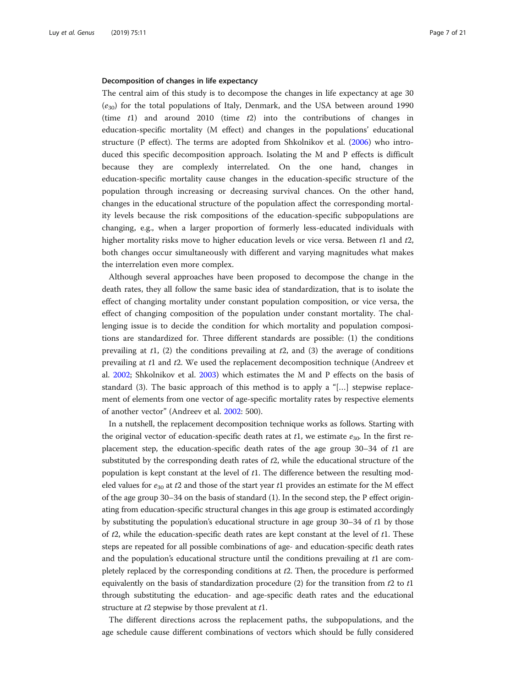#### Decomposition of changes in life expectancy

The central aim of this study is to decompose the changes in life expectancy at age 30  $(e_{30})$  for the total populations of Italy, Denmark, and the USA between around 1990 (time  $t1$ ) and around 2010 (time  $t2$ ) into the contributions of changes in education-specific mortality (M effect) and changes in the populations' educational structure (P effect). The terms are adopted from Shkolnikov et al. ([2006](#page-19-0)) who introduced this specific decomposition approach. Isolating the M and P effects is difficult because they are complexly interrelated. On the one hand, changes in education-specific mortality cause changes in the education-specific structure of the population through increasing or decreasing survival chances. On the other hand, changes in the educational structure of the population affect the corresponding mortality levels because the risk compositions of the education-specific subpopulations are changing, e.g., when a larger proportion of formerly less-educated individuals with higher mortality risks move to higher education levels or vice versa. Between t1 and t2, both changes occur simultaneously with different and varying magnitudes what makes the interrelation even more complex.

Although several approaches have been proposed to decompose the change in the death rates, they all follow the same basic idea of standardization, that is to isolate the effect of changing mortality under constant population composition, or vice versa, the effect of changing composition of the population under constant mortality. The challenging issue is to decide the condition for which mortality and population compositions are standardized for. Three different standards are possible: (1) the conditions prevailing at  $t1$ , (2) the conditions prevailing at  $t2$ , and (3) the average of conditions prevailing at t1 and t2. We used the replacement decomposition technique (Andreev et al. [2002](#page-18-0); Shkolnikov et al. [2003\)](#page-19-0) which estimates the M and P effects on the basis of standard (3). The basic approach of this method is to apply a "[…] stepwise replacement of elements from one vector of age-specific mortality rates by respective elements of another vector" (Andreev et al. [2002](#page-18-0): 500).

In a nutshell, the replacement decomposition technique works as follows. Starting with the original vector of education-specific death rates at  $t_1$ , we estimate  $e_{30}$ . In the first replacement step, the education-specific death rates of the age group  $30-34$  of t1 are substituted by the corresponding death rates of  $t2$ , while the educational structure of the population is kept constant at the level of t1. The difference between the resulting modeled values for  $e_{30}$  at t2 and those of the start year t1 provides an estimate for the M effect of the age group 30–34 on the basis of standard (1). In the second step, the P effect originating from education-specific structural changes in this age group is estimated accordingly by substituting the population's educational structure in age group  $30-34$  of  $t1$  by those of  $t2$ , while the education-specific death rates are kept constant at the level of  $t1$ . These steps are repeated for all possible combinations of age- and education-specific death rates and the population's educational structure until the conditions prevailing at t1 are completely replaced by the corresponding conditions at t2. Then, the procedure is performed equivalently on the basis of standardization procedure (2) for the transition from  $t2$  to  $t1$ through substituting the education- and age-specific death rates and the educational structure at  $t2$  stepwise by those prevalent at  $t1$ .

The different directions across the replacement paths, the subpopulations, and the age schedule cause different combinations of vectors which should be fully considered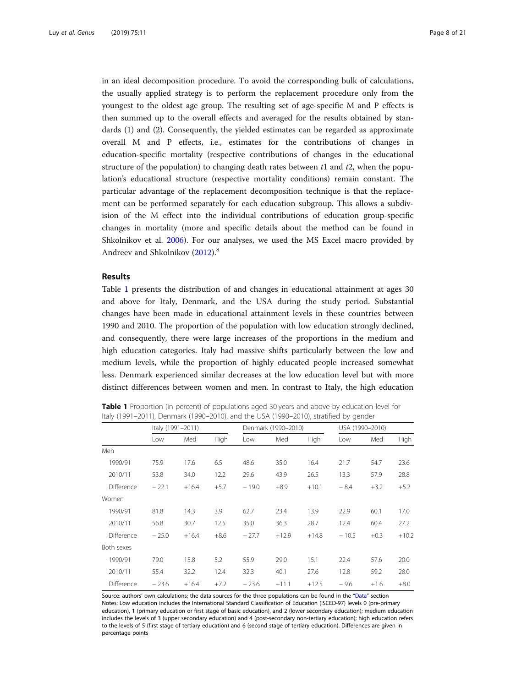<span id="page-7-0"></span>in an ideal decomposition procedure. To avoid the corresponding bulk of calculations, the usually applied strategy is to perform the replacement procedure only from the youngest to the oldest age group. The resulting set of age-specific M and P effects is then summed up to the overall effects and averaged for the results obtained by standards (1) and (2). Consequently, the yielded estimates can be regarded as approximate overall M and P effects, i.e., estimates for the contributions of changes in education-specific mortality (respective contributions of changes in the educational structure of the population) to changing death rates between  $t_1$  and  $t_2$ , when the population's educational structure (respective mortality conditions) remain constant. The particular advantage of the replacement decomposition technique is that the replacement can be performed separately for each education subgroup. This allows a subdivision of the M effect into the individual contributions of education group-specific changes in mortality (more and specific details about the method can be found in Shkolnikov et al. [2006](#page-19-0)). For our analyses, we used the MS Excel macro provided by Andreev and Shkolnikov ([2012](#page-17-0)).<sup>8</sup>

#### Results

Table 1 presents the distribution of and changes in educational attainment at ages 30 and above for Italy, Denmark, and the USA during the study period. Substantial changes have been made in educational attainment levels in these countries between 1990 and 2010. The proportion of the population with low education strongly declined, and consequently, there were large increases of the proportions in the medium and high education categories. Italy had massive shifts particularly between the low and medium levels, while the proportion of highly educated people increased somewhat less. Denmark experienced similar decreases at the low education level but with more distinct differences between women and men. In contrast to Italy, the high education

| <b>Table 1</b> Proportion (in percent) of populations aged 30 years and above by education level for |  |
|------------------------------------------------------------------------------------------------------|--|
| Italy (1991–2011), Denmark (1990–2010), and the USA (1990–2010), stratified by gender                |  |

|            | Italy (1991-2011) |         |        |         | Denmark (1990-2010) |         | USA (1990-2010) |        |         |
|------------|-------------------|---------|--------|---------|---------------------|---------|-----------------|--------|---------|
|            | Low               | Med     | High   | Low     | Med                 | High    | Low             | Med    | High    |
| Men        |                   |         |        |         |                     |         |                 |        |         |
| 1990/91    | 75.9              | 17.6    | 6.5    | 48.6    | 35.0                | 16.4    | 21.7            | 54.7   | 23.6    |
| 2010/11    | 53.8              | 34.0    | 12.2   | 29.6    | 43.9                | 26.5    | 13.3            | 57.9   | 28.8    |
| Difference | $-22.1$           | $+16.4$ | $+5.7$ | $-19.0$ | $+8.9$              | $+10.1$ | $-8.4$          | $+3.2$ | $+5.2$  |
| Women      |                   |         |        |         |                     |         |                 |        |         |
| 1990/91    | 81.8              | 14.3    | 3.9    | 62.7    | 23.4                | 13.9    | 22.9            | 60.1   | 17.0    |
| 2010/11    | 56.8              | 30.7    | 12.5   | 35.0    | 36.3                | 28.7    | 12.4            | 60.4   | 27.2    |
| Difference | $-25.0$           | $+16.4$ | $+8.6$ | $-27.7$ | $+12.9$             | $+14.8$ | $-10.5$         | $+0.3$ | $+10.2$ |
| Both sexes |                   |         |        |         |                     |         |                 |        |         |
| 1990/91    | 79.0              | 15.8    | 5.2    | 55.9    | 29.0                | 15.1    | 22.4            | 57.6   | 20.0    |
| 2010/11    | 55.4              | 32.2    | 12.4   | 32.3    | 40.1                | 27.6    | 12.8            | 59.2   | 28.0    |
| Difference | $-23.6$           | $+16.4$ | $+7.2$ | $-23.6$ | $+11.1$             | $+12.5$ | $-9.6$          | $+1.6$ | $+8.0$  |

Source: authors' own calculations; the data sources for the three populations can be found in the "[Data](#page-3-0)" section Notes: Low education includes the International Standard Classification of Education (ISCED-97) levels 0 (pre-primary education), 1 (primary education or first stage of basic education), and 2 (lower secondary education); medium education includes the levels of 3 (upper secondary education) and 4 (post-secondary non-tertiary education); high education refers to the levels of 5 (first stage of tertiary education) and 6 (second stage of tertiary education). Differences are given in percentage points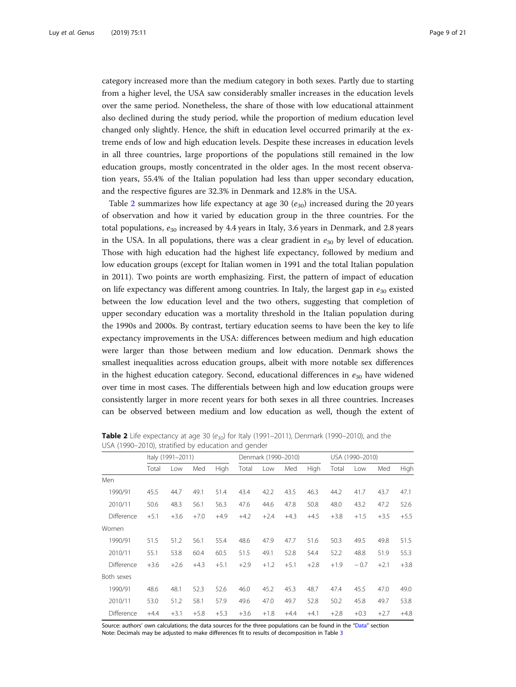<span id="page-8-0"></span>category increased more than the medium category in both sexes. Partly due to starting from a higher level, the USA saw considerably smaller increases in the education levels over the same period. Nonetheless, the share of those with low educational attainment also declined during the study period, while the proportion of medium education level changed only slightly. Hence, the shift in education level occurred primarily at the extreme ends of low and high education levels. Despite these increases in education levels in all three countries, large proportions of the populations still remained in the low education groups, mostly concentrated in the older ages. In the most recent observation years, 55.4% of the Italian population had less than upper secondary education, and the respective figures are 32.3% in Denmark and 12.8% in the USA.

Table 2 summarizes how life expectancy at age 30  $(e_{30})$  increased during the 20 years of observation and how it varied by education group in the three countries. For the total populations,  $e_{30}$  increased by 4.4 years in Italy, 3.6 years in Denmark, and 2.8 years in the USA. In all populations, there was a clear gradient in  $e_{30}$  by level of education. Those with high education had the highest life expectancy, followed by medium and low education groups (except for Italian women in 1991 and the total Italian population in 2011). Two points are worth emphasizing. First, the pattern of impact of education on life expectancy was different among countries. In Italy, the largest gap in  $e_{30}$  existed between the low education level and the two others, suggesting that completion of upper secondary education was a mortality threshold in the Italian population during the 1990s and 2000s. By contrast, tertiary education seems to have been the key to life expectancy improvements in the USA: differences between medium and high education were larger than those between medium and low education. Denmark shows the smallest inequalities across education groups, albeit with more notable sex differences in the highest education category. Second, educational differences in  $e_{30}$  have widened over time in most cases. The differentials between high and low education groups were consistently larger in more recent years for both sexes in all three countries. Increases can be observed between medium and low education as well, though the extent of

|            | Italy (1991-2011) |        |        | Denmark (1990-2010) |        |        |        | USA (1990-2010) |        |        |        |             |
|------------|-------------------|--------|--------|---------------------|--------|--------|--------|-----------------|--------|--------|--------|-------------|
|            | Total             | Low    | Med    | High                | Total  | Low    | Med    | High            | Total  | Low    | Med    | <b>High</b> |
| Men        |                   |        |        |                     |        |        |        |                 |        |        |        |             |
| 1990/91    | 45.5              | 44.7   | 49.1   | 51.4                | 43.4   | 42.2   | 43.5   | 46.3            | 44.2   | 41.7   | 43.7   | 47.1        |
| 2010/11    | 50.6              | 48.3   | 56.1   | 56.3                | 47.6   | 44.6   | 47.8   | 50.8            | 48.0   | 43.2   | 47.2   | 52.6        |
| Difference | $+5.1$            | $+3.6$ | $+7.0$ | $+4.9$              | $+4.2$ | $+2.4$ | $+4.3$ | $+4.5$          | $+3.8$ | $+1.5$ | $+3.5$ | $+5.5$      |
| Women      |                   |        |        |                     |        |        |        |                 |        |        |        |             |
| 1990/91    | 51.5              | 51.2   | 56.1   | 55.4                | 48.6   | 47.9   | 47.7   | 51.6            | 50.3   | 49.5   | 49.8   | 51.5        |
| 2010/11    | 55.1              | 53.8   | 60.4   | 60.5                | 51.5   | 49.1   | 52.8   | 54.4            | 52.2   | 48.8   | 51.9   | 55.3        |
| Difference | $+3.6$            | $+2.6$ | $+4.3$ | $+5.1$              | $+2.9$ | $+1.2$ | $+5.1$ | $+2.8$          | $+1.9$ | $-0.7$ | $+2.1$ | $+3.8$      |
| Both sexes |                   |        |        |                     |        |        |        |                 |        |        |        |             |
| 1990/91    | 48.6              | 48.1   | 52.3   | 52.6                | 46.0   | 45.2   | 45.3   | 48.7            | 47.4   | 45.5   | 47.0   | 49.0        |
| 2010/11    | 53.0              | 51.2   | 58.1   | 57.9                | 49.6   | 47.0   | 49.7   | 52.8            | 50.2   | 45.8   | 49.7   | 53.8        |
| Difference | $+4.4$            | $+3.1$ | $+5.8$ | $+5.3$              | $+3.6$ | $+1.8$ | $+4.4$ | $+4.1$          | $+2.8$ | $+0.3$ | $+2.7$ | $+4.8$      |

**Table 2** Life expectancy at age 30 ( $e_{30}$ ) for Italy (1991–2011), Denmark (1990–2010), and the USA (1990–2010), stratified by education and gender

Source: authors' own calculations; the data sources for the three populations can be found in the "[Data](#page-3-0)" section Note: Decimals may be adjusted to make differences fit to results of decomposition in Table [3](#page-9-0)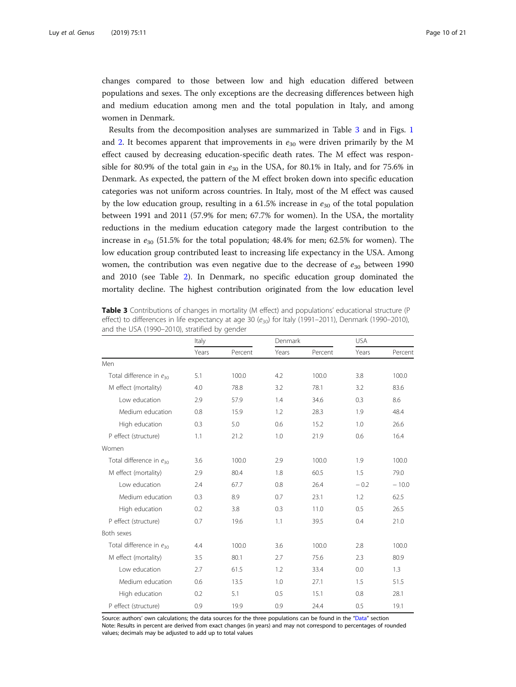<span id="page-9-0"></span>changes compared to those between low and high education differed between populations and sexes. The only exceptions are the decreasing differences between high and medium education among men and the total population in Italy, and among women in Denmark.

Results from the decomposition analyses are summarized in Table 3 and in Figs. [1](#page-10-0) and [2](#page-10-0). It becomes apparent that improvements in  $e_{30}$  were driven primarily by the M effect caused by decreasing education-specific death rates. The M effect was responsible for 80.9% of the total gain in  $e_{30}$  in the USA, for 80.1% in Italy, and for 75.6% in Denmark. As expected, the pattern of the M effect broken down into specific education categories was not uniform across countries. In Italy, most of the M effect was caused by the low education group, resulting in a 61.5% increase in  $e_{30}$  of the total population between 1991 and 2011 (57.9% for men; 67.7% for women). In the USA, the mortality reductions in the medium education category made the largest contribution to the increase in  $e_{30}$  (51.5% for the total population; 48.4% for men; 62.5% for women). The low education group contributed least to increasing life expectancy in the USA. Among women, the contribution was even negative due to the decrease of  $e_{30}$  between 1990 and 2010 (see Table [2\)](#page-8-0). In Denmark, no specific education group dominated the mortality decline. The highest contribution originated from the low education level

Table 3 Contributions of changes in mortality (M effect) and populations' educational structure (P effect) to differences in life expectancy at age 30 ( $e_{30}$ ) for Italy (1991–2011), Denmark (1990–2010), and the USA (1990–2010), stratified by gender

|                                     | Italy |         | Denmark |         | <b>USA</b> |         |  |
|-------------------------------------|-------|---------|---------|---------|------------|---------|--|
|                                     | Years | Percent | Years   | Percent | Years      | Percent |  |
| Men                                 |       |         |         |         |            |         |  |
| Total difference in $e_{30}$        | 5.1   | 100.0   | 4.2     | 100.0   | 3.8        | 100.0   |  |
| M effect (mortality)                | 4.0   | 78.8    | 3.2     | 78.1    | 3.2        | 83.6    |  |
| Low education                       | 2.9   | 57.9    | 1.4     | 34.6    | 0.3        | 8.6     |  |
| Medium education                    | 0.8   | 15.9    | 1.2     | 28.3    | 1.9        | 48.4    |  |
| High education                      | 0.3   | 5.0     | 0.6     | 15.2    | 1.0        | 26.6    |  |
| P effect (structure)                | 1.1   | 21.2    | 1.0     | 21.9    | 0.6        | 16.4    |  |
| Women                               |       |         |         |         |            |         |  |
| Total difference in e <sub>30</sub> | 3.6   | 100.0   | 2.9     | 100.0   | 1.9        | 100.0   |  |
| M effect (mortality)                | 2.9   | 80.4    | 1.8     | 60.5    | 1.5        | 79.0    |  |
| Low education                       | 2.4   | 67.7    | 0.8     | 26.4    | $-0.2$     | $-10.0$ |  |
| Medium education                    | 0.3   | 8.9     | 0.7     | 23.1    | 1.2        | 62.5    |  |
| High education                      | 0.2   | 3.8     | 0.3     | 11.0    | 0.5        | 26.5    |  |
| P effect (structure)                | 0.7   | 19.6    | 1.1     | 39.5    | 0.4        | 21.0    |  |
| Both sexes                          |       |         |         |         |            |         |  |
| Total difference in $e_{30}$        | 4.4   | 100.0   | 3.6     | 100.0   | 2.8        | 100.0   |  |
| M effect (mortality)                | 3.5   | 80.1    | 2.7     | 75.6    | 2.3        | 80.9    |  |
| Low education                       | 2.7   | 61.5    | 1.2     | 33.4    | 0.0        | 1.3     |  |
| Medium education                    | 0.6   | 13.5    | 1.0     | 27.1    | 1.5        | 51.5    |  |
| High education                      | 0.2   | 5.1     | 0.5     | 15.1    | 0.8        | 28.1    |  |
| P effect (structure)                | 0.9   | 19.9    | 0.9     | 24.4    | 0.5        | 19.1    |  |

Source: authors' own calculations; the data sources for the three populations can be found in the "[Data](#page-3-0)" section Note: Results in percent are derived from exact changes (in years) and may not correspond to percentages of rounded values; decimals may be adjusted to add up to total values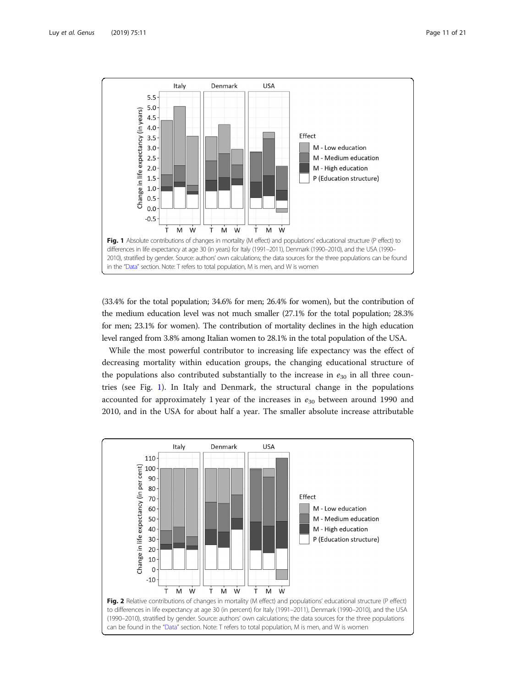<span id="page-10-0"></span>

(33.4% for the total population; 34.6% for men; 26.4% for women), but the contribution of the medium education level was not much smaller (27.1% for the total population; 28.3% for men; 23.1% for women). The contribution of mortality declines in the high education level ranged from 3.8% among Italian women to 28.1% in the total population of the USA.

While the most powerful contributor to increasing life expectancy was the effect of decreasing mortality within education groups, the changing educational structure of the populations also contributed substantially to the increase in  $e_{30}$  in all three countries (see Fig. 1). In Italy and Denmark, the structural change in the populations accounted for approximately 1 year of the increases in  $e_{30}$  between around 1990 and 2010, and in the USA for about half a year. The smaller absolute increase attributable

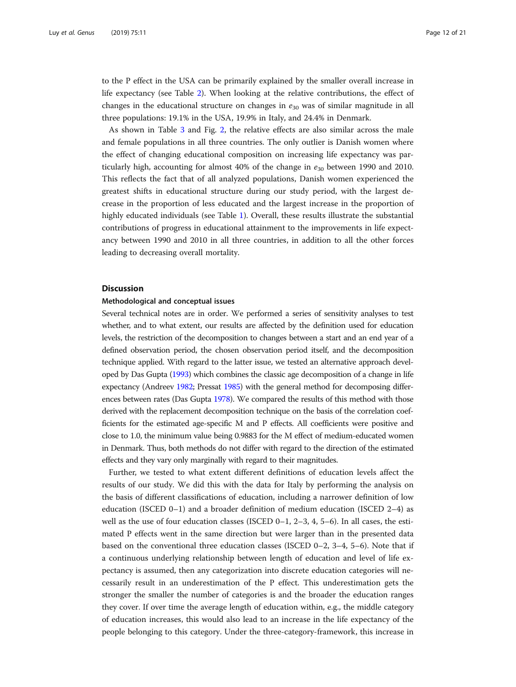<span id="page-11-0"></span>to the P effect in the USA can be primarily explained by the smaller overall increase in life expectancy (see Table [2](#page-8-0)). When looking at the relative contributions, the effect of changes in the educational structure on changes in  $e_{30}$  was of similar magnitude in all three populations: 19.1% in the USA, 19.9% in Italy, and 24.4% in Denmark.

As shown in Table [3](#page-9-0) and Fig. [2](#page-10-0), the relative effects are also similar across the male and female populations in all three countries. The only outlier is Danish women where the effect of changing educational composition on increasing life expectancy was particularly high, accounting for almost 40% of the change in  $e_{30}$  between 1990 and 2010. This reflects the fact that of all analyzed populations, Danish women experienced the greatest shifts in educational structure during our study period, with the largest decrease in the proportion of less educated and the largest increase in the proportion of highly educated individuals (see Table [1](#page-7-0)). Overall, these results illustrate the substantial contributions of progress in educational attainment to the improvements in life expectancy between 1990 and 2010 in all three countries, in addition to all the other forces leading to decreasing overall mortality.

#### **Discussion**

#### Methodological and conceptual issues

Several technical notes are in order. We performed a series of sensitivity analyses to test whether, and to what extent, our results are affected by the definition used for education levels, the restriction of the decomposition to changes between a start and an end year of a defined observation period, the chosen observation period itself, and the decomposition technique applied. With regard to the latter issue, we tested an alternative approach developed by Das Gupta ([1993\)](#page-18-0) which combines the classic age decomposition of a change in life expectancy (Andreev [1982;](#page-17-0) Pressat [1985](#page-19-0)) with the general method for decomposing differences between rates (Das Gupta [1978\)](#page-18-0). We compared the results of this method with those derived with the replacement decomposition technique on the basis of the correlation coefficients for the estimated age-specific M and P effects. All coefficients were positive and close to 1.0, the minimum value being 0.9883 for the M effect of medium-educated women in Denmark. Thus, both methods do not differ with regard to the direction of the estimated effects and they vary only marginally with regard to their magnitudes.

Further, we tested to what extent different definitions of education levels affect the results of our study. We did this with the data for Italy by performing the analysis on the basis of different classifications of education, including a narrower definition of low education (ISCED 0–1) and a broader definition of medium education (ISCED 2–4) as well as the use of four education classes (ISCED  $0-1$ ,  $2-3$ ,  $4$ ,  $5-6$ ). In all cases, the estimated P effects went in the same direction but were larger than in the presented data based on the conventional three education classes (ISCED 0–2, 3–4, 5–6). Note that if a continuous underlying relationship between length of education and level of life expectancy is assumed, then any categorization into discrete education categories will necessarily result in an underestimation of the P effect. This underestimation gets the stronger the smaller the number of categories is and the broader the education ranges they cover. If over time the average length of education within, e.g., the middle category of education increases, this would also lead to an increase in the life expectancy of the people belonging to this category. Under the three-category-framework, this increase in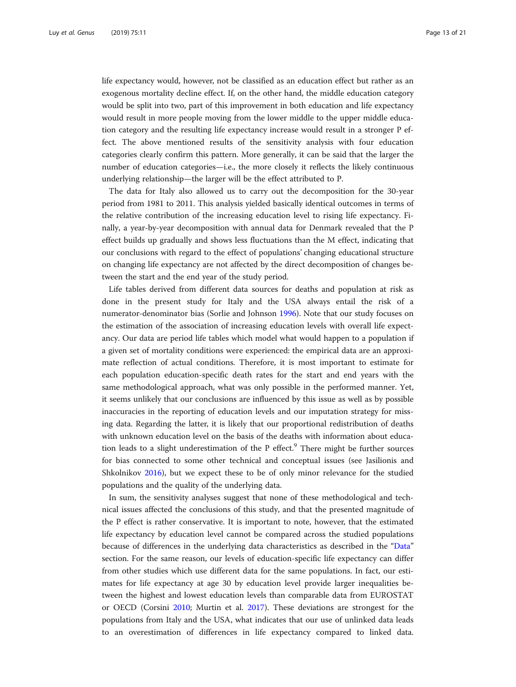life expectancy would, however, not be classified as an education effect but rather as an exogenous mortality decline effect. If, on the other hand, the middle education category would be split into two, part of this improvement in both education and life expectancy would result in more people moving from the lower middle to the upper middle education category and the resulting life expectancy increase would result in a stronger P effect. The above mentioned results of the sensitivity analysis with four education categories clearly confirm this pattern. More generally, it can be said that the larger the number of education categories—i.e., the more closely it reflects the likely continuous underlying relationship—the larger will be the effect attributed to P.

The data for Italy also allowed us to carry out the decomposition for the 30-year period from 1981 to 2011. This analysis yielded basically identical outcomes in terms of the relative contribution of the increasing education level to rising life expectancy. Finally, a year-by-year decomposition with annual data for Denmark revealed that the P effect builds up gradually and shows less fluctuations than the M effect, indicating that our conclusions with regard to the effect of populations' changing educational structure on changing life expectancy are not affected by the direct decomposition of changes between the start and the end year of the study period.

Life tables derived from different data sources for deaths and population at risk as done in the present study for Italy and the USA always entail the risk of a numerator-denominator bias (Sorlie and Johnson [1996](#page-19-0)). Note that our study focuses on the estimation of the association of increasing education levels with overall life expectancy. Our data are period life tables which model what would happen to a population if a given set of mortality conditions were experienced: the empirical data are an approximate reflection of actual conditions. Therefore, it is most important to estimate for each population education-specific death rates for the start and end years with the same methodological approach, what was only possible in the performed manner. Yet, it seems unlikely that our conclusions are influenced by this issue as well as by possible inaccuracies in the reporting of education levels and our imputation strategy for missing data. Regarding the latter, it is likely that our proportional redistribution of deaths with unknown education level on the basis of the deaths with information about education leads to a slight underestimation of the  $P$  effect.<sup>9</sup> There might be further sources for bias connected to some other technical and conceptual issues (see Jasilionis and Shkolnikov [2016\)](#page-18-0), but we expect these to be of only minor relevance for the studied populations and the quality of the underlying data.

In sum, the sensitivity analyses suggest that none of these methodological and technical issues affected the conclusions of this study, and that the presented magnitude of the P effect is rather conservative. It is important to note, however, that the estimated life expectancy by education level cannot be compared across the studied populations because of differences in the underlying data characteristics as described in the "[Data](#page-3-0)" section. For the same reason, our levels of education-specific life expectancy can differ from other studies which use different data for the same populations. In fact, our estimates for life expectancy at age 30 by education level provide larger inequalities between the highest and lowest education levels than comparable data from EUROSTAT or OECD (Corsini [2010;](#page-18-0) Murtin et al. [2017](#page-19-0)). These deviations are strongest for the populations from Italy and the USA, what indicates that our use of unlinked data leads to an overestimation of differences in life expectancy compared to linked data.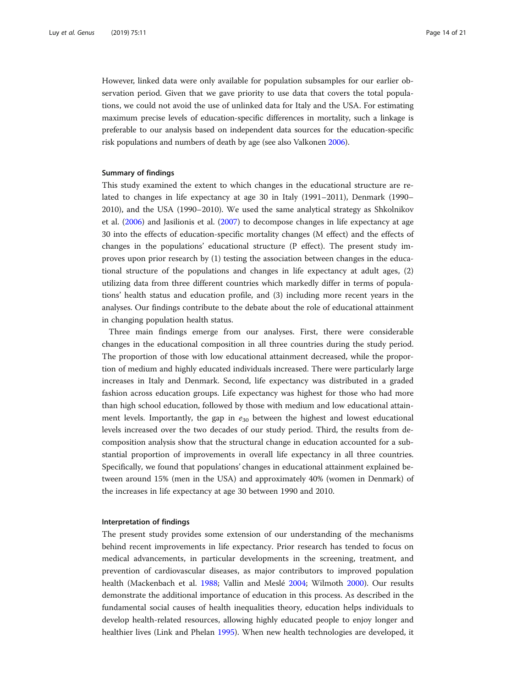However, linked data were only available for population subsamples for our earlier observation period. Given that we gave priority to use data that covers the total populations, we could not avoid the use of unlinked data for Italy and the USA. For estimating maximum precise levels of education-specific differences in mortality, such a linkage is preferable to our analysis based on independent data sources for the education-specific risk populations and numbers of death by age (see also Valkonen [2006](#page-20-0)).

#### Summary of findings

This study examined the extent to which changes in the educational structure are related to changes in life expectancy at age 30 in Italy (1991–2011), Denmark (1990– 2010), and the USA (1990–2010). We used the same analytical strategy as Shkolnikov et al. [\(2006\)](#page-19-0) and Jasilionis et al. ([2007](#page-18-0)) to decompose changes in life expectancy at age 30 into the effects of education-specific mortality changes (M effect) and the effects of changes in the populations' educational structure (P effect). The present study improves upon prior research by (1) testing the association between changes in the educational structure of the populations and changes in life expectancy at adult ages, (2) utilizing data from three different countries which markedly differ in terms of populations' health status and education profile, and (3) including more recent years in the analyses. Our findings contribute to the debate about the role of educational attainment in changing population health status.

Three main findings emerge from our analyses. First, there were considerable changes in the educational composition in all three countries during the study period. The proportion of those with low educational attainment decreased, while the proportion of medium and highly educated individuals increased. There were particularly large increases in Italy and Denmark. Second, life expectancy was distributed in a graded fashion across education groups. Life expectancy was highest for those who had more than high school education, followed by those with medium and low educational attainment levels. Importantly, the gap in  $e_{30}$  between the highest and lowest educational levels increased over the two decades of our study period. Third, the results from decomposition analysis show that the structural change in education accounted for a substantial proportion of improvements in overall life expectancy in all three countries. Specifically, we found that populations' changes in educational attainment explained between around 15% (men in the USA) and approximately 40% (women in Denmark) of the increases in life expectancy at age 30 between 1990 and 2010.

#### Interpretation of findings

The present study provides some extension of our understanding of the mechanisms behind recent improvements in life expectancy. Prior research has tended to focus on medical advancements, in particular developments in the screening, treatment, and prevention of cardiovascular diseases, as major contributors to improved population health (Mackenbach et al. [1988](#page-19-0); Vallin and Meslé [2004](#page-20-0); Wilmoth [2000](#page-20-0)). Our results demonstrate the additional importance of education in this process. As described in the fundamental social causes of health inequalities theory, education helps individuals to develop health-related resources, allowing highly educated people to enjoy longer and healthier lives (Link and Phelan [1995\)](#page-19-0). When new health technologies are developed, it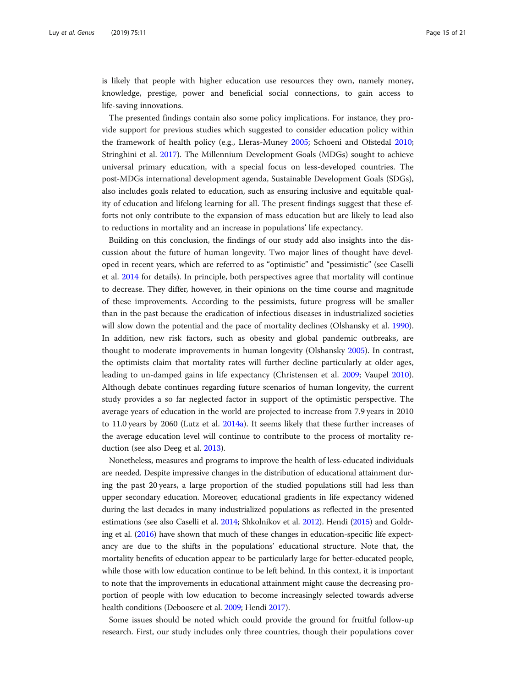is likely that people with higher education use resources they own, namely money, knowledge, prestige, power and beneficial social connections, to gain access to life-saving innovations.

The presented findings contain also some policy implications. For instance, they provide support for previous studies which suggested to consider education policy within the framework of health policy (e.g., Lleras-Muney [2005;](#page-19-0) Schoeni and Ofstedal [2010](#page-19-0); Stringhini et al. [2017](#page-19-0)). The Millennium Development Goals (MDGs) sought to achieve universal primary education, with a special focus on less-developed countries. The post-MDGs international development agenda, Sustainable Development Goals (SDGs), also includes goals related to education, such as ensuring inclusive and equitable quality of education and lifelong learning for all. The present findings suggest that these efforts not only contribute to the expansion of mass education but are likely to lead also to reductions in mortality and an increase in populations' life expectancy.

Building on this conclusion, the findings of our study add also insights into the discussion about the future of human longevity. Two major lines of thought have developed in recent years, which are referred to as "optimistic" and "pessimistic" (see Caselli et al. [2014](#page-18-0) for details). In principle, both perspectives agree that mortality will continue to decrease. They differ, however, in their opinions on the time course and magnitude of these improvements. According to the pessimists, future progress will be smaller than in the past because the eradication of infectious diseases in industrialized societies will slow down the potential and the pace of mortality declines (Olshansky et al. [1990](#page-19-0)). In addition, new risk factors, such as obesity and global pandemic outbreaks, are thought to moderate improvements in human longevity (Olshansky [2005](#page-19-0)). In contrast, the optimists claim that mortality rates will further decline particularly at older ages, leading to un-damped gains in life expectancy (Christensen et al. [2009;](#page-18-0) Vaupel [2010](#page-20-0)). Although debate continues regarding future scenarios of human longevity, the current study provides a so far neglected factor in support of the optimistic perspective. The average years of education in the world are projected to increase from 7.9 years in 2010 to 11.0 years by 2060 (Lutz et al. [2014a](#page-19-0)). It seems likely that these further increases of the average education level will continue to contribute to the process of mortality reduction (see also Deeg et al. [2013](#page-18-0)).

Nonetheless, measures and programs to improve the health of less-educated individuals are needed. Despite impressive changes in the distribution of educational attainment during the past 20 years, a large proportion of the studied populations still had less than upper secondary education. Moreover, educational gradients in life expectancy widened during the last decades in many industrialized populations as reflected in the presented estimations (see also Caselli et al. [2014](#page-18-0); Shkolnikov et al. [2012\)](#page-19-0). Hendi ([2015\)](#page-18-0) and Goldring et al. [\(2016\)](#page-18-0) have shown that much of these changes in education-specific life expectancy are due to the shifts in the populations' educational structure. Note that, the mortality benefits of education appear to be particularly large for better-educated people, while those with low education continue to be left behind. In this context, it is important to note that the improvements in educational attainment might cause the decreasing proportion of people with low education to become increasingly selected towards adverse health conditions (Deboosere et al. [2009](#page-18-0); Hendi [2017\)](#page-18-0).

Some issues should be noted which could provide the ground for fruitful follow-up research. First, our study includes only three countries, though their populations cover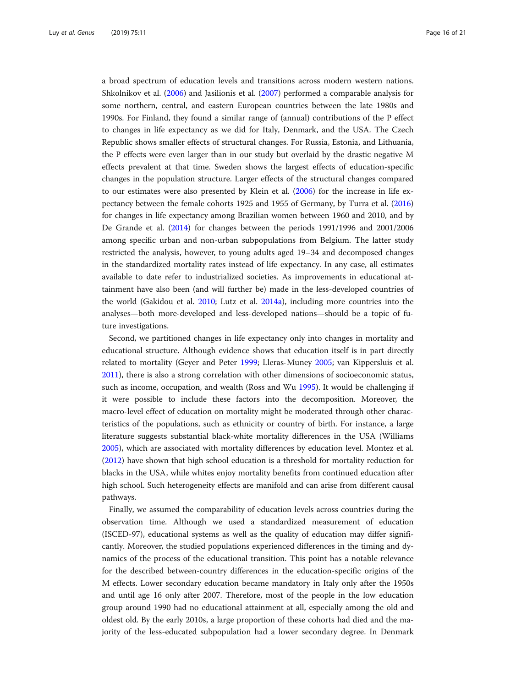a broad spectrum of education levels and transitions across modern western nations. Shkolnikov et al. [\(2006\)](#page-19-0) and Jasilionis et al. ([2007](#page-18-0)) performed a comparable analysis for some northern, central, and eastern European countries between the late 1980s and 1990s. For Finland, they found a similar range of (annual) contributions of the P effect to changes in life expectancy as we did for Italy, Denmark, and the USA. The Czech Republic shows smaller effects of structural changes. For Russia, Estonia, and Lithuania, the P effects were even larger than in our study but overlaid by the drastic negative M effects prevalent at that time. Sweden shows the largest effects of education-specific changes in the population structure. Larger effects of the structural changes compared to our estimates were also presented by Klein et al. [\(2006\)](#page-18-0) for the increase in life expectancy between the female cohorts 1925 and 1955 of Germany, by Turra et al. ([2016](#page-20-0)) for changes in life expectancy among Brazilian women between 1960 and 2010, and by De Grande et al. [\(2014](#page-18-0)) for changes between the periods 1991/1996 and 2001/2006 among specific urban and non-urban subpopulations from Belgium. The latter study restricted the analysis, however, to young adults aged 19–34 and decomposed changes in the standardized mortality rates instead of life expectancy. In any case, all estimates available to date refer to industrialized societies. As improvements in educational attainment have also been (and will further be) made in the less-developed countries of the world (Gakidou et al. [2010](#page-18-0); Lutz et al. [2014a\)](#page-19-0), including more countries into the analyses—both more-developed and less-developed nations—should be a topic of future investigations.

Second, we partitioned changes in life expectancy only into changes in mortality and educational structure. Although evidence shows that education itself is in part directly related to mortality (Geyer and Peter [1999](#page-18-0); Lleras-Muney [2005](#page-19-0); van Kippersluis et al. [2011](#page-18-0)), there is also a strong correlation with other dimensions of socioeconomic status, such as income, occupation, and wealth (Ross and Wu [1995](#page-19-0)). It would be challenging if it were possible to include these factors into the decomposition. Moreover, the macro-level effect of education on mortality might be moderated through other characteristics of the populations, such as ethnicity or country of birth. For instance, a large literature suggests substantial black-white mortality differences in the USA (Williams [2005](#page-20-0)), which are associated with mortality differences by education level. Montez et al. ([2012](#page-19-0)) have shown that high school education is a threshold for mortality reduction for blacks in the USA, while whites enjoy mortality benefits from continued education after high school. Such heterogeneity effects are manifold and can arise from different causal pathways.

Finally, we assumed the comparability of education levels across countries during the observation time. Although we used a standardized measurement of education (ISCED-97), educational systems as well as the quality of education may differ significantly. Moreover, the studied populations experienced differences in the timing and dynamics of the process of the educational transition. This point has a notable relevance for the described between-country differences in the education-specific origins of the M effects. Lower secondary education became mandatory in Italy only after the 1950s and until age 16 only after 2007. Therefore, most of the people in the low education group around 1990 had no educational attainment at all, especially among the old and oldest old. By the early 2010s, a large proportion of these cohorts had died and the majority of the less-educated subpopulation had a lower secondary degree. In Denmark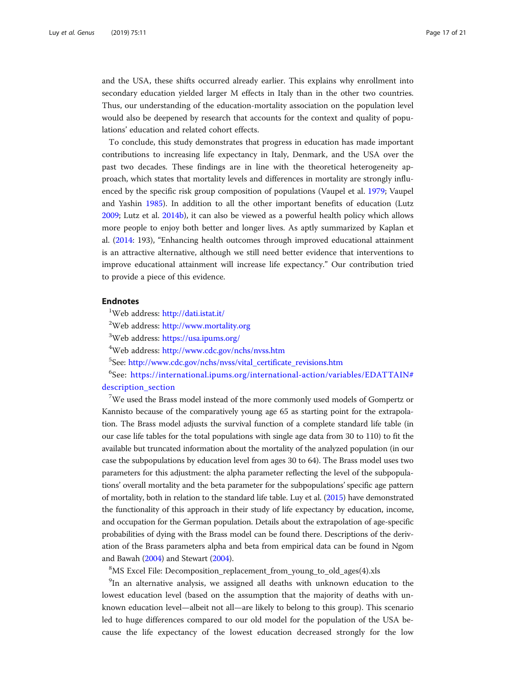and the USA, these shifts occurred already earlier. This explains why enrollment into secondary education yielded larger M effects in Italy than in the other two countries. Thus, our understanding of the education-mortality association on the population level would also be deepened by research that accounts for the context and quality of populations' education and related cohort effects.

To conclude, this study demonstrates that progress in education has made important contributions to increasing life expectancy in Italy, Denmark, and the USA over the past two decades. These findings are in line with the theoretical heterogeneity approach, which states that mortality levels and differences in mortality are strongly influenced by the specific risk group composition of populations (Vaupel et al. [1979](#page-20-0); Vaupel and Yashin [1985\)](#page-20-0). In addition to all the other important benefits of education (Lutz [2009](#page-19-0); Lutz et al. [2014b](#page-19-0)), it can also be viewed as a powerful health policy which allows more people to enjoy both better and longer lives. As aptly summarized by Kaplan et al. [\(2014](#page-18-0): 193), "Enhancing health outcomes through improved educational attainment is an attractive alternative, although we still need better evidence that interventions to improve educational attainment will increase life expectancy." Our contribution tried to provide a piece of this evidence.

## Endnotes

<sup>1</sup>Web address: <http://dati.istat.it/>

<sup>2</sup>Web address: <http://www.mortality.org>

<sup>3</sup>Web address: <https://usa.ipums.org/>

<sup>4</sup>Web address: <http://www.cdc.gov/nchs/nvss.htm>

5 See: [http://www.cdc.gov/nchs/nvss/vital\\_certificate\\_revisions.htm](http://www.cdc.gov/nchs/nvss/vital_certificate_revisions.htm)

6 See: [https://international.ipums.org/international-action/variables/EDATTAIN#](https://international.ipums.org/international-action/variables/EDATTAIN#description_section) description section

<sup>7</sup>We used the Brass model instead of the more commonly used models of Gompertz or Kannisto because of the comparatively young age 65 as starting point for the extrapolation. The Brass model adjusts the survival function of a complete standard life table (in our case life tables for the total populations with single age data from 30 to 110) to fit the available but truncated information about the mortality of the analyzed population (in our case the subpopulations by education level from ages 30 to 64). The Brass model uses two parameters for this adjustment: the alpha parameter reflecting the level of the subpopulations' overall mortality and the beta parameter for the subpopulations' specific age pattern of mortality, both in relation to the standard life table. Luy et al. ([2015](#page-19-0)) have demonstrated the functionality of this approach in their study of life expectancy by education, income, and occupation for the German population. Details about the extrapolation of age-specific probabilities of dying with the Brass model can be found there. Descriptions of the derivation of the Brass parameters alpha and beta from empirical data can be found in Ngom and Bawah [\(2004](#page-19-0)) and Stewart [\(2004\)](#page-19-0).

8 MS Excel File: Decomposition\_replacement\_from\_young\_to\_old\_ages(4).xls

<sup>9</sup>In an alternative analysis, we assigned all deaths with unknown education to the lowest education level (based on the assumption that the majority of deaths with unknown education level—albeit not all—are likely to belong to this group). This scenario led to huge differences compared to our old model for the population of the USA because the life expectancy of the lowest education decreased strongly for the low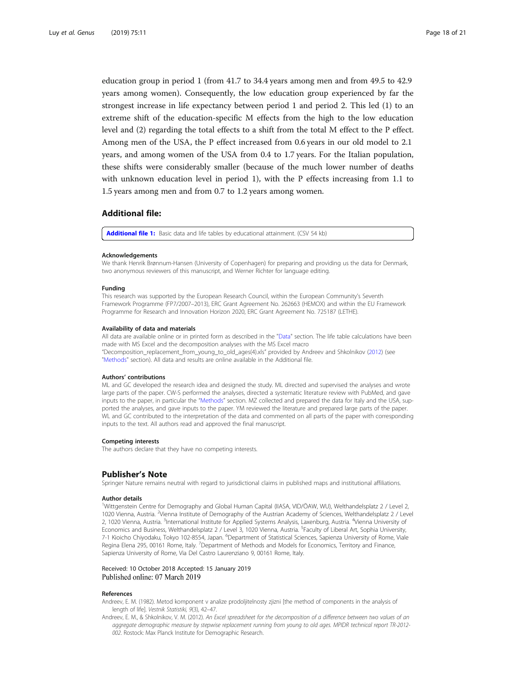<span id="page-17-0"></span>education group in period 1 (from 41.7 to 34.4 years among men and from 49.5 to 42.9 years among women). Consequently, the low education group experienced by far the strongest increase in life expectancy between period 1 and period 2. This led (1) to an extreme shift of the education-specific M effects from the high to the low education level and (2) regarding the total effects to a shift from the total M effect to the P effect. Among men of the USA, the P effect increased from 0.6 years in our old model to 2.1 years, and among women of the USA from 0.4 to 1.7 years. For the Italian population, these shifts were considerably smaller (because of the much lower number of deaths with unknown education level in period 1), with the P effects increasing from 1.1 to 1.5 years among men and from 0.7 to 1.2 years among women.

## Additional file:

[Additional file 1:](https://doi.org/10.1186/s41118-019-0055-0) Basic data and life tables by educational attainment. (CSV 54 kb)

#### Acknowledgements

We thank Henrik Brønnum-Hansen (University of Copenhagen) for preparing and providing us the data for Denmark, two anonymous reviewers of this manuscript, and Werner Richter for language editing.

#### Funding

This research was supported by the European Research Council, within the European Community's Seventh Framework Programme (FP7/2007–2013), ERC Grant Agreement No. 262663 (HEMOX) and within the EU Framework Programme for Research and Innovation Horizon 2020, ERC Grant Agreement No. 725187 (LETHE).

#### Availability of data and materials

All data are available online or in printed form as described in the "[Data"](#page-3-0) section. The life table calculations have been made with MS Excel and the decomposition analyses with the MS Excel macro "Decomposition\_replacement\_from\_young\_to\_old\_ages(4).xls" provided by Andreev and Shkolnikov (2012) (see "[Methods](#page-5-0)" section). All data and results are online available in the Additional file.

#### Authors' contributions

ML and GC developed the research idea and designed the study. ML directed and supervised the analyses and wrote large parts of the paper. CW-S performed the analyses, directed a systematic literature review with PubMed, and gave inputs to the paper, in particular the "[Methods](#page-5-0)" section. MZ collected and prepared the data for Italy and the USA, supported the analyses, and gave inputs to the paper. YM reviewed the literature and prepared large parts of the paper. WL and GC contributed to the interpretation of the data and commented on all parts of the paper with corresponding inputs to the text. All authors read and approved the final manuscript.

#### Competing interests

The authors declare that they have no competing interests.

#### Publisher's Note

Springer Nature remains neutral with regard to jurisdictional claims in published maps and institutional affiliations.

#### Author details

<sup>1</sup>Wittgenstein Centre for Demography and Global Human Capital (IIASA, VID/ÖAW, WU), Welthandelsplatz 2 / Level 2, 1020 Vienna, Austria. <sup>2</sup>Vienna Institute of Demography of the Austrian Academy of Sciences, Welthandelsplatz 2 / Level 2, 1020 Vienna, Austria. <sup>3</sup>International Institute for Applied Systems Analysis, Laxenburg, Austria. <sup>4</sup>Vienna University of Economics and Business, Welthandelsplatz 2 / Level 3, 1020 Vienna, Austria. <sup>5</sup>Faculty of Liberal Art, Sophia University, 7-1 Kioicho Chiyodaku, Tokyo 102-8554, Japan. <sup>6</sup>Department of Statistical Sciences, Sapienza University of Rome, Viale Regina Elena 295, 00161 Rome, Italy. <sup>7</sup>Department of Methods and Models for Economics, Territory and Finance, Sapienza University of Rome, Via Del Castro Laurenziano 9, 00161 Rome, Italy.

#### Received: 10 October 2018 Accepted: 15 January 2019 Published online: 07 March 2019

#### References

- Andreev, E. M. (1982). Metod komponent v analize prodoljitelnosty zjizni [the method of components in the analysis of length of life]. Vestnik Statistiki, 9(3), 42–47.
- Andreev, E. M., & Shkolnikov, V. M. (2012). An Excel spreadsheet for the decomposition of a difference between two values of an aggregate demographic measure by stepwise replacement running from young to old ages. MPIDR technical report TR-2012- 002. Rostock: Max Planck Institute for Demographic Research.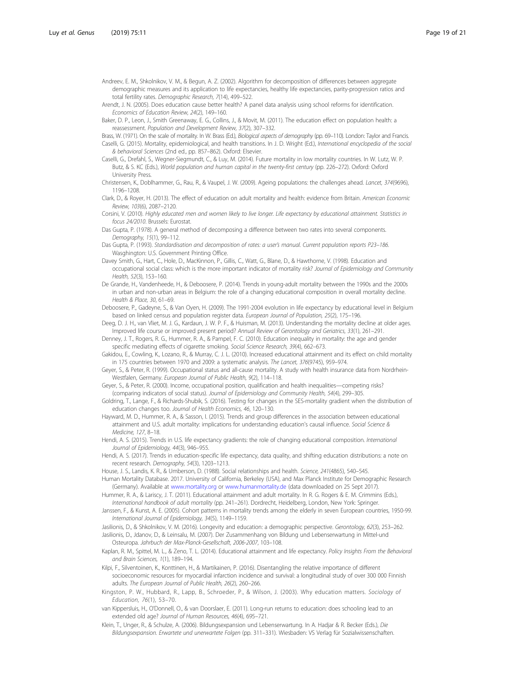- <span id="page-18-0"></span>Andreev, E. M., Shkolnikov, V. M., & Begun, A. Z. (2002). Algorithm for decomposition of differences between aggregate demographic measures and its application to life expectancies, healthy life expectancies, parity-progression ratios and total fertility rates. Demographic Research, 7(14), 499–522.
- Arendt, J. N. (2005). Does education cause better health? A panel data analysis using school reforms for identification. Economics of Education Review, 24(2), 149–160.
- Baker, D. P., Leon, J., Smith Greenaway, E. G., Collins, J., & Movit, M. (2011). The education effect on population health: a reassessment. Population and Development Review, 37(2), 307–332.
- Brass, W. (1971). On the scale of mortality. In W. Brass (Ed.), Biological aspects of demography (pp. 69-110). London: Taylor and Francis. Caselli, G. (2015). Mortality, epidemiological, and health transitions. In J. D. Wright (Ed.), International encyclopedia of the social & behavioral Sciences (2nd ed., pp. 857–862). Oxford: Elsevier.
- Caselli, G., Drefahl, S., Wegner-Siegmundt, C., & Luy, M. (2014). Future mortality in low mortality countries. In W. Lutz, W. P. Butz, & S. KC (Eds.), World population and human capital in the twenty-first century (pp. 226–272). Oxford: Oxford University Press.
- Christensen, K., Doblhammer, G., Rau, R., & Vaupel, J. W. (2009). Ageing populations: the challenges ahead. Lancet, 374(9696), 1196–1208.
- Clark, D., & Royer, H. (2013). The effect of education on adult mortality and health: evidence from Britain. American Economic Review, 103(6), 2087–2120.
- Corsini, V. (2010). Highly educated men and women likely to live longer. Life expectancy by educational attainment. Statistics in focus 24/2010. Brussels: Eurostat.
- Das Gupta, P. (1978). A general method of decomposing a difference between two rates into several components. Demography, 15(1), 99–112.
- Das Gupta, P. (1993). Standardisation and decomposition of rates: a user's manual. Current population reports P23–186. Wasghington: U.S. Government Printing Office.
- Davey Smith, G., Hart, C., Hole, D., MacKinnon, P., Gillis, C., Watt, G., Blane, D., & Hawthorne, V. (1998). Education and occupational social class: which is the more important indicator of mortality risk? Journal of Epidemiology and Community Health, 52(3), 153–160.
- De Grande, H., Vandenheede, H., & Deboosere, P. (2014). Trends in young-adult mortality between the 1990s and the 2000s in urban and non-urban areas in Belgium: the role of a changing educational composition in overall mortality decline. Health & Place, 30, 61–69.
- Deboosere, P., Gadeyne, S., & Van Oyen, H. (2009). The 1991-2004 evolution in life expectancy by educational level in Belgium based on linked census and population register data. European Journal of Population, 25(2), 175-196
- Deeg, D. J. H., van Vliet, M. J. G., Kardaun, J. W. P. F., & Huisman, M. (2013). Understanding the mortality decline at older ages. Improved life course or improved present period? Annual Review of Gerontology and Geriatrics, 33(1), 261–291.
- Denney, J. T., Rogers, R. G., Hummer, R. A., & Pampel, F. C. (2010). Education inequality in mortality: the age and gender specific mediating effects of cigarette smoking. Social Science Research, 39(4), 662–673.
- Gakidou, E., Cowling, K., Lozano, R., & Murray, C. J. L. (2010). Increased educational attainment and its effect on child mortality in 175 countries between 1970 and 2009: a systematic analysis. The Lancet, 376(9745), 959–974.
- Geyer, S., & Peter, R. (1999). Occupational status and all-cause mortality. A study with health insurance data from Nordrhein-Westfalen, Germany. European Journal of Public Health, 9(2), 114–118.
- Geyer, S., & Peter, R. (2000). Income, occupational position, qualification and health inequalities—competing risks? (comparing indicators of social status). Journal of Epidemiology and Community Health, 54(4), 299–305.
- Goldring, T., Lange, F., & Richards-Shubik, S. (2016). Testing for changes in the SES-mortality gradient when the distribution of education changes too. Journal of Health Economics, 46, 120–130.
- Hayward, M. D., Hummer, R. A., & Sasson, I. (2015). Trends and group differences in the association between educational attainment and U.S. adult mortality: implications for understanding education's causal influence. Social Science & Medicine, 127, 8–18.
- Hendi, A. S. (2015). Trends in U.S. life expectancy gradients: the role of changing educational composition. International Journal of Epidemiology, 44(3), 946–955.
- Hendi, A. S. (2017). Trends in education-specific life expectancy, data quality, and shifting education distributions: a note on recent research. Demography, 54(3), 1203–1213.
- House, J. S., Landis, K. R., & Umberson, D. (1988). Social relationships and health. Science, 241(4865), 540-545. Human Mortality Database. 2017. University of California, Berkeley (USA), and Max Planck Institute for Demographic Research

(Germany). Available at [www.mortality.org](http://www.mortality.org) or [www.humanmortality.de](http://www.humanmortality.de) (data downloaded on 25 Sept 2017). Hummer, R. A., & Lariscy, J. T. (2011). Educational attainment and adult mortality. In R. G. Rogers & E. M. Crimmins (Eds.),

- International handbook of adult mortality (pp. 241–261). Dordrecht, Heidelberg, London, New York: Springer. Janssen, F., & Kunst, A. E. (2005). Cohort patterns in mortality trends among the elderly in seven European countries, 1950-99.
- International Journal of Epidemiology, 34(5), 1149–1159.
- Jasilionis, D., & Shkolnikov, V. M. (2016). Longevity and education: a demographic perspective. Gerontology, 62(3), 253-262. Jasilionis, D., Jdanov, D., & Leinsalu, M. (2007). Der Zusammenhang von Bildung und Lebenserwartung in Mittel-und
- Osteuropa. Jahrbuch der Max-Planck-Gesellschaft, 2006-2007, 103–108. Kaplan, R. M., Spittel, M. L., & Zeno, T. L. (2014). Educational attainment and life expectancy. Policy Insights From the Behavioral
- and Brain Sciences, 1(1), 189–194. Kilpi, F., Silventoinen, K., Konttinen, H., & Martikainen, P. (2016). Disentangling the relative importance of different socioeconomic resources for myocardial infarction incidence and survival: a longitudinal study of over 300 000 Finnish
- adults. The European Journal of Public Health, 26(2), 260–266. Kingston, P. W., Hubbard, R., Lapp, B., Schroeder, P., & Wilson, J. (2003). Why education matters. Sociology of
- Education, 76(1), 53–70.
- van Kippersluis, H., O'Donnell, O., & van Doorslaer, E. (2011). Long-run returns to education: does schooling lead to an extended old age? Journal of Human Resources, 46(4), 695–721.
- Klein, T., Unger, R., & Schulze, A. (2006). Bildungsexpansion und Lebenserwartung. In A. Hadjar & R. Becker (Eds.), Die Bildungsexpansion. Erwartete und unerwartete Folgen (pp. 311–331). Wiesbaden: VS Verlag für Sozialwissenschaften.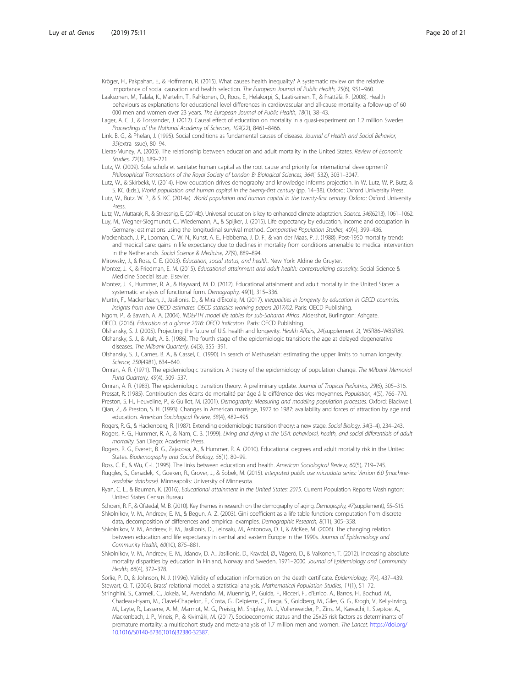<span id="page-19-0"></span>Kröger, H., Pakpahan, E., & Hoffmann, R. (2015). What causes health inequality? A systematic review on the relative importance of social causation and health selection. The European Journal of Public Health, 25(6), 951–960.

Laaksonen, M., Talala, K., Martelin, T., Rahkonen, O., Roos, E., Helakorpi, S., Laatikainen, T., & Prättälä, R. (2008). Health behaviours as explanations for educational level differences in cardiovascular and all-cause mortality: a follow-up of 60 000 men and women over 23 years. The European Journal of Public Health, 18(1), 38–43.

Lager, A. C. J., & Torssander, J. (2012). Causal effect of education on mortality in a quasi-experiment on 1.2 million Swedes. Proceedings of the National Academy of Sciences, 109(22), 8461–8466.

- Link, B. G., & Phelan, J. (1995). Social conditions as fundamental causes of disease. Journal of Health and Social Behavior, 35(extra issue), 80–94.
- Lleras-Muney, A. (2005). The relationship between education and adult mortality in the United States. Review of Economic Studies, 72(1), 189–221.
- Lutz, W. (2009). Sola schola et sanitate: human capital as the root cause and priority for international development? Philosophical Transactions of the Royal Society of London B: Biological Sciences, 364(1532), 3031–3047.
- Lutz, W., & Skirbekk, V. (2014). How education drives demography and knowledge informs projection. In W. Lutz, W. P. Butz, & S. KC (Eds.), World population and human capital in the twenty-first century (pp. 14–38). Oxford: Oxford University Press.
- Lutz, W., Butz, W. P., & S. KC. (2014a). World population and human capital in the twenty-first century. Oxford: Oxford University Press.

Lutz, W., Muttarak, R., & Striessnig, E. (2014b). Universal education is key to enhanced climate adaptation. Science, 346(6213), 1061–1062. Luy, M., Wegner-Siegmundt, C., Wiedemann, A., & Spijker, J. (2015). Life expectancy by education, income and occupation in

Germany: estimations using the longitudinal survival method. Comparative Population Studies, 40(4), 399–436. Mackenbach, J. P., Looman, C. W. N., Kunst, A. E., Habbema, J. D. F., & van der Maas, P. J. (1988). Post-1950 mortality trends and medical care: gains in life expectancy due to declines in mortality from conditions amenable to medical intervention in the Netherlands. Social Science & Medicine, 27(9), 889–894.

Mirowsky, J., & Ross, C. E. (2003). Education, social status, and health. New York: Aldine de Gruyter.

- Montez, J. K., & Friedman, E. M. (2015). Educational attainment and adult health: contextualizing causality. Social Science & Medicine Special Issue. Elsevier.
- Montez, J. K., Hummer, R. A., & Hayward, M. D. (2012). Educational attainment and adult mortality in the United States: a systematic analysis of functional form. Demography, 49(1), 315–336.
- Murtin, F., Mackenbach, J., Jasilionis, D., & Mira d'Ercole, M. (2017). Inequalities in longevity by education in OECD countries. Insights from new OECD estimates. OECD statistics working papers 2017/02. Paris: OECD Publishing.
- Ngom, P., & Bawah, A. A. (2004). INDEPTH model life tables for sub-Saharan Africa. Aldershot, Burlington: Ashgate. OECD. (2016). Education at a glance 2016: OECD indicators. Paris: OECD Publishing.
- Olshansky, S. J. (2005). Projecting the future of U.S. health and longevity. Health Affairs, 24(supplement 2), W5R86–W85R89.
- Olshansky, S. J., & Ault, A. B. (1986). The fourth stage of the epidemiologic transition: the age at delayed degenerative diseases. The Milbank Quarterly, 64(3), 355–391.
- Olshansky, S. J., Carnes, B. A., & Cassel, C. (1990). In search of Methuselah: estimating the upper limits to human longevity. Science, 250(4981), 634–640.
- Omran, A. R. (1971). The epidemiologic transition. A theory of the epidemiology of population change. The Milbank Memorial Fund Quarterly, 49(4), 509–537.
- Omran, A. R. (1983). The epidemiologic transition theory. A preliminary update. Journal of Tropical Pediatrics, 29(6), 305–316. Pressat, R. (1985). Contribution des écarts de mortalité par âge á la différence des vies moyennes. Population, 4(5), 766–770.

Preston, S. H., Heuveline, P., & Guillot, M. (2001). Demography: Measuring and modeling population processes. Oxford: Blackwell.

- Qian, Z., & Preston, S. H. (1993). Changes in American marriage, 1972 to 1987: availability and forces of attraction by age and education. American Sociological Review, 58(4), 482–495.
- Rogers, R. G., & Hackenberg, R. (1987). Extending epidemiologic transition theory: a new stage. Social Biology, 34(3–4), 234–243.
- Rogers, R. G., Hummer, R. A., & Nam, C. B. (1999). Living and dying in the USA: behavioral, health, and social differentials of adult mortality. San Diego: Academic Press.
- Rogers, R. G., Everett, B. G., Zajacova, A., & Hummer, R. A. (2010). Educational degrees and adult mortality risk in the United States. Biodemography and Social Biology, 56(1), 80–99.
- Ross, C. E., & Wu, C.-l. (1995). The links between education and health. American Sociological Review, 60(5), 719-745.
- Ruggles, S., Genadek, K., Goeken, R., Grover, J., & Sobek, M. (2015). Integrated public use microdata series: Version 6.0 [machinereadable database]. Minneapolis: University of Minnesota.
- Ryan, C. L., & Bauman, K. (2016). Educational attainment in the United States: 2015. Current Population Reports Washington: United States Census Bureau.
- Schoeni, R. F., & Ofstedal, M. B. (2010). Key themes in research on the demography of aging. Demography, 47(supplement), S5-S15.
- Shkolnikov, V. M., Andreev, E. M., & Begun, A. Z. (2003). Gini coefficient as a life table function: computation from discrete data, decomposition of differences and empirical examples. Demographic Research, 8(11), 305–358.
- Shkolnikov, V. M., Andreev, E. M., Jasilionis, D., Leinsalu, M., Antonova, O. I., & McKee, M. (2006). The changing relation between education and life expectancy in central and eastern Europe in the 1990s. Journal of Epidemiology and Community Health, 60(10), 875–881.
- Shkolnikov, V. M., Andreev, E. M., Jdanov, D. A., Jasilionis, D., Kravdal, Ø., Vågerö, D., & Valkonen, T. (2012). Increasing absolute mortality disparities by education in Finland, Norway and Sweden, 1971–2000. Journal of Epidemiology and Community Health, 66(4), 372–378.
- Sorlie, P. D., & Johnson, N. J. (1996). Validity of education information on the death certificate. Epidemiology, 7(4), 437–439. Stewart, Q. T. (2004). Brass' relational model: a statistical analysis. Mathematical Population Studies, 11(1), 51–72.
- Stringhini, S., Carmeli, C., Jokela, M., Avendaño, M., Muennig, P., Guida, F., Ricceri, F., d'Errico, A., Barros, H., Bochud, M., Chadeau-Hyam, M., Clavel-Chapelon, F., Costa, G., Delpierre, C., Fraga, S., Goldberg, M., Giles, G. G., Krogh, V., Kelly-Irving, M., Layte, R., Lasserre, A. M., Marmot, M. G., Preisig, M., Shipley, M. J., Vollenweider, P., Zins, M., Kawachi, I., Steptoe, A., Mackenbach, J. P., Vineis, P., & Kivimäki, M. (2017). Socioeconomic status and the 25x25 risk factors as determinants of premature mortality: a multicohort study and meta-analysis of 1.7 million men and women. The Lancet. [https://doi.org/](https://doi.org/10.1016/S0140-6736(1016)32380-32387) [10.1016/S0140-6736\(1016\)32380-32387.](https://doi.org/10.1016/S0140-6736(1016)32380-32387)